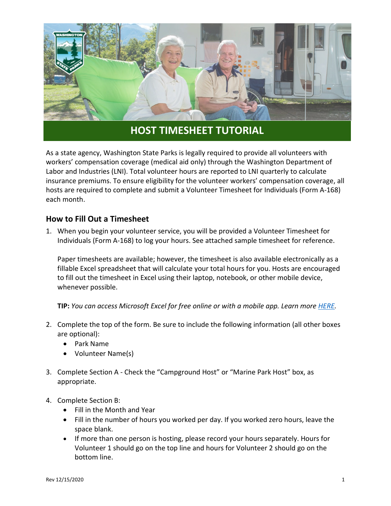

## **HOST TIMESHEET TUTORIAL**

As a state agency, Washington State Parks is legally required to provide all volunteers with workers' compensation coverage (medical aid only) through the Washington Department of Labor and Industries (LNI). Total volunteer hours are reported to LNI quarterly to calculate insurance premiums. To ensure eligibility for the volunteer workers' compensation coverage, all hosts are required to complete and submit a Volunteer Timesheet for Individuals (Form A-168) each month.

## **How to Fill Out a Timesheet**

1. When you begin your volunteer service, you will be provided a Volunteer Timesheet for Individuals (Form A-168) to log your hours. See attached sample timesheet for reference.

Paper timesheets are available; however, the timesheet is also available electronically as a fillable Excel spreadsheet that will calculate your total hours for you. Hosts are encouraged to fill out the timesheet in Excel using their laptop, notebook, or other mobile device, whenever possible.

**TIP:** *You can access Microsoft Excel for free online or with a mobile app. Learn more [HERE.](https://microsoft-office.en.softonic.com/articles/7-tricks-microsoft-office-free)*

- 2. Complete the top of the form. Be sure to include the following information (all other boxes are optional):
	- Park Name
	- Volunteer Name(s)
- 3. Complete Section A Check the "Campground Host" or "Marine Park Host" box, as appropriate.
- 4. Complete Section B:
	- Fill in the Month and Year
	- Fill in the number of hours you worked per day. If you worked zero hours, leave the space blank.
	- If more than one person is hosting, please record your hours separately. Hours for Volunteer 1 should go on the top line and hours for Volunteer 2 should go on the bottom line.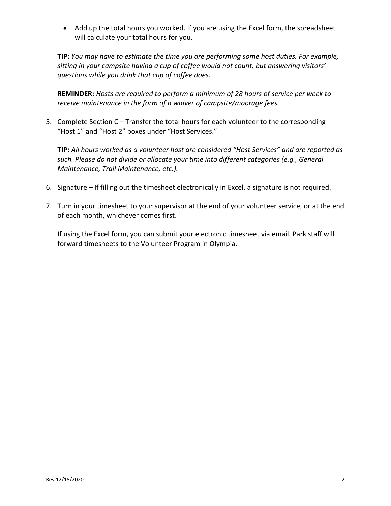• Add up the total hours you worked. If you are using the Excel form, the spreadsheet will calculate your total hours for you.

**TIP:** *You may have to estimate the time you are performing some host duties. For example, sitting in your campsite having a cup of coffee would not count, but answering visitors' questions while you drink that cup of coffee does.*

**REMINDER:** *Hosts are required to perform a minimum of 28 hours of service per week to receive maintenance in the form of a waiver of campsite/moorage fees.*

5. Complete Section C – Transfer the total hours for each volunteer to the corresponding "Host 1" and "Host 2" boxes under "Host Services."

**TIP:** *All hours worked as a volunteer host are considered "Host Services" and are reported as such. Please do not divide or allocate your time into different categories (e.g., General Maintenance, Trail Maintenance, etc.).*

- 6. Signature If filling out the timesheet electronically in Excel, a signature is not required.
- 7. Turn in your timesheet to your supervisor at the end of your volunteer service, or at the end of each month, whichever comes first.

If using the Excel form, you can submit your electronic timesheet via email. Park staff will forward timesheets to the Volunteer Program in Olympia.